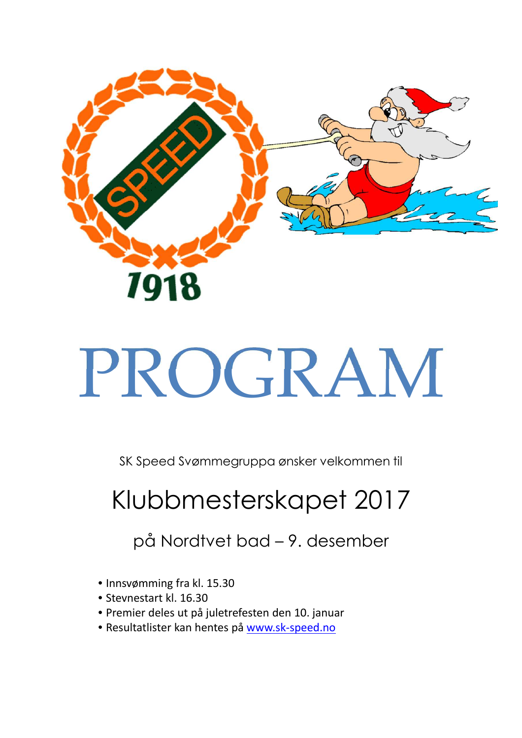

# PROGRAM

SK Speed Svømmegruppa ønsker velkommen til

# Klubbmesterskapet 2017

på Nordtvet bad – 9. desember

- Innsvømming fra kl. 15.30
- Stevnestart kl. 16.30
- Premier deles ut på juletrefesten den 10. januar
- Resultatlister kan hentes på www.sk-speed.no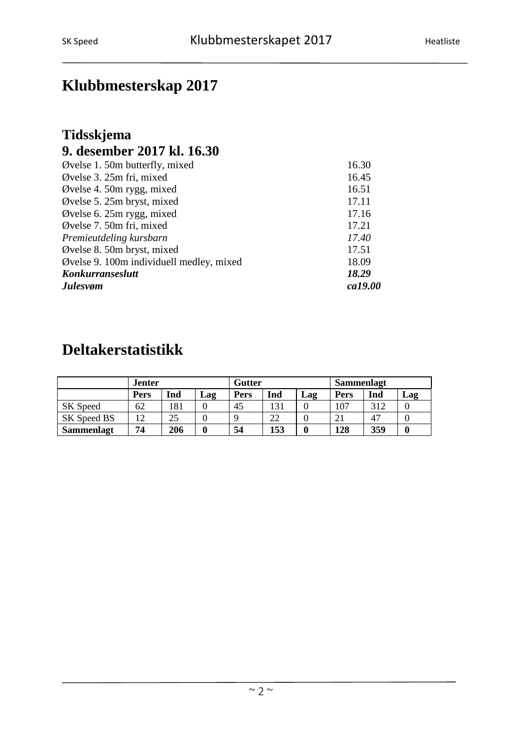## **Klubbmesterskap 2017**

#### **Tidsskjema 9. desember 2017 kl. 16.30**

| Øvelse 1. 50m butterfly, mixed           | 16.30   |
|------------------------------------------|---------|
| Øvelse 3. 25m fri, mixed                 | 16.45   |
| Øvelse 4. 50m rygg, mixed                | 16.51   |
| Øvelse 5. 25m bryst, mixed               | 17.11   |
| Øvelse 6. 25m rygg, mixed                | 17.16   |
| Øvelse 7. 50m fri, mixed                 | 17.21   |
| Premieutdeling kursbarn                  | 17.40   |
| Øvelse 8. 50m bryst, mixed               | 17.51   |
| Øvelse 9. 100m individuell medley, mixed | 18.09   |
| Konkurranseslutt                         | 18.29   |
| <b>Julesvøm</b>                          | ca19.00 |

### **Deltakerstatistikk**

|                   | <b>Jenter</b> |     |     | Gutter      |     |     | <b>Sammenlagt</b> |     |     |
|-------------------|---------------|-----|-----|-------------|-----|-----|-------------------|-----|-----|
|                   | Pers          | Ind | Lag | <b>Pers</b> | Ind | Lag | <b>Pers</b>       | Ind | Lag |
| SK Speed          | 62            | 181 |     | 45          | 131 |     | 107               | 312 |     |
| SK Speed BS       | 12            | 25  |     |             | 22  |     | 21                | 47  |     |
| <b>Sammenlagt</b> | 74            | 206 | 0   | 54          | 153 |     | 128               | 359 |     |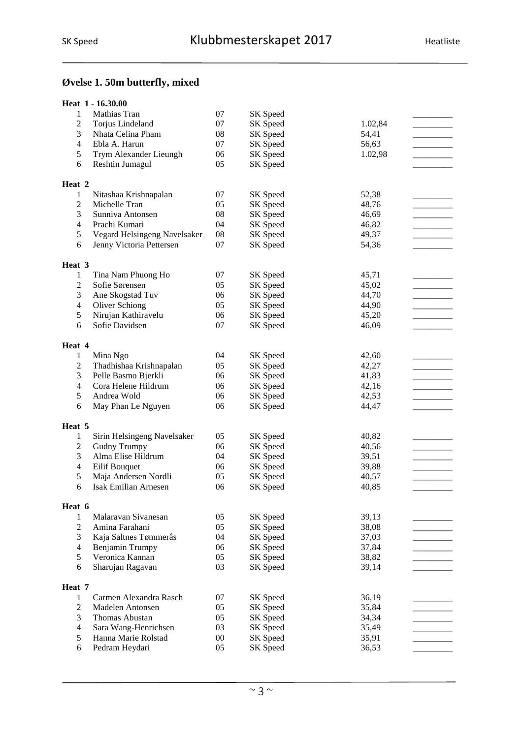#### **Øvelse 1. 50m butterfly, mixed**

|                  | Heat 1 - 16.30.00            |        |          |         |  |
|------------------|------------------------------|--------|----------|---------|--|
| 1                | Mathias Tran                 | 07     | SK Speed |         |  |
| $\overline{c}$   | Torjus Lindeland             | 07     | SK Speed | 1.02,84 |  |
| 3                | Nhata Celina Pham            | $08\,$ | SK Speed | 54,41   |  |
| $\overline{4}$   | Ebla A. Harun                | 07     | SK Speed | 56,63   |  |
| 5                | Trym Alexander Lieungh       | 06     | SK Speed | 1.02,98 |  |
| 6                | Reshtin Jumagul              | 05     | SK Speed |         |  |
|                  |                              |        |          |         |  |
| Heat 2           |                              |        |          |         |  |
| 1                | Nitashaa Krishnapalan        | 07     | SK Speed | 52,38   |  |
| $\overline{c}$   | Michelle Tran                | 05     | SK Speed | 48,76   |  |
| 3                | Sunniva Antonsen             | 08     | SK Speed | 46,69   |  |
| $\overline{4}$   | Prachi Kumari                | 04     | SK Speed | 46,82   |  |
| 5                | Vegard Helsingeng Navelsaker | 08     | SK Speed | 49,37   |  |
| 6                | Jenny Victoria Pettersen     | 07     | SK Speed | 54,36   |  |
|                  |                              |        |          |         |  |
| Heat 3           |                              |        |          |         |  |
| $\mathbf{1}$     | Tina Nam Phuong Ho           | 07     | SK Speed | 45,71   |  |
| $\overline{c}$   | Sofie Sørensen               | 05     | SK Speed | 45,02   |  |
| 3                | Ane Skogstad Tuv             | 06     | SK Speed | 44,70   |  |
| $\overline{4}$   | <b>Oliver Schiong</b>        | 05     | SK Speed | 44,90   |  |
| 5                | Nirujan Kathiravelu          | 06     | SK Speed | 45,20   |  |
| 6                | Sofie Davidsen               | 07     | SK Speed | 46,09   |  |
|                  |                              |        |          |         |  |
| Heat 4           |                              |        |          |         |  |
| $\mathbf{1}$     | Mina Ngo                     | 04     | SK Speed | 42,60   |  |
| $\boldsymbol{2}$ | Thadhishaa Krishnapalan      | 05     | SK Speed | 42,27   |  |
| 3                | Pelle Basmo Bjerkli          | 06     | SK Speed | 41,83   |  |
| $\overline{4}$   | Cora Helene Hildrum          | 06     | SK Speed | 42,16   |  |
| 5                | Andrea Wold                  | 06     | SK Speed | 42,53   |  |
| 6                | May Phan Le Nguyen           | 06     | SK Speed | 44,47   |  |
|                  |                              |        |          |         |  |
| Heat 5           |                              |        |          |         |  |
| 1                | Sirin Helsingeng Navelsaker  | 05     | SK Speed | 40,82   |  |
| $\mathbf{2}$     | <b>Gudny Trumpy</b>          | 06     | SK Speed | 40,56   |  |
| 3                | Alma Elise Hildrum           | 04     | SK Speed | 39,51   |  |
| $\overline{4}$   | Eilif Bouquet                | 06     | SK Speed | 39,88   |  |
| 5                | Maja Andersen Nordli         | 05     | SK Speed | 40,57   |  |
| 6                | <b>Isak Emilian Arnesen</b>  | 06     | SK Speed | 40,85   |  |
|                  |                              |        |          |         |  |
| Heat 6           |                              |        |          |         |  |
| 1                | Malaravan Sivanesan          | 05     | SK Speed | 39,13   |  |
| $\mathbf{2}$     | Amina Farahani               | 05     | SK Speed | 38,08   |  |
| 3                | Kaja Saltnes Tømmerås        | 04     | SK Speed | 37,03   |  |
| $\overline{4}$   | Benjamin Trumpy              | 06     | SK Speed | 37,84   |  |
| 5                | Veronica Kannan              | 05     | SK Speed | 38,82   |  |
| 6                | Sharujan Ragavan             | 03     | SK Speed | 39,14   |  |
|                  |                              |        |          |         |  |
| Heat 7           |                              |        |          |         |  |
| 1                | Carmen Alexandra Rasch       | 07     | SK Speed | 36,19   |  |
| $\sqrt{2}$       | Madelen Antonsen             | 05     | SK Speed | 35,84   |  |
| 3                | Thomas Abustan               | 05     | SK Speed | 34,34   |  |
| $\overline{4}$   | Sara Wang-Henrichsen         | 03     | SK Speed | 35,49   |  |
| 5                | Hanna Marie Rolstad          | $00\,$ | SK Speed | 35,91   |  |
| 6                | Pedram Heydari               | 05     | SK Speed | 36,53   |  |
|                  |                              |        |          |         |  |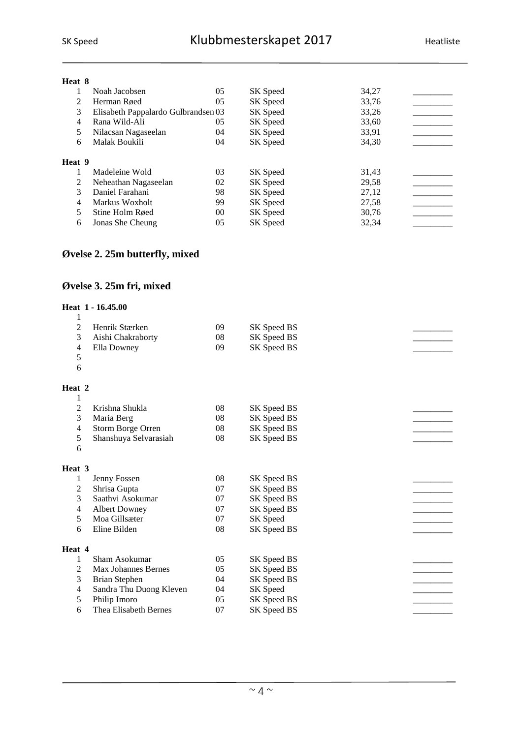#### **Heat 8**

|        | Noah Jacobsen                       | 05 | SK Speed | 34,27 |  |
|--------|-------------------------------------|----|----------|-------|--|
|        | Herman Røed                         | 05 | SK Speed | 33,76 |  |
| 3      | Elisabeth Pappalardo Gulbrandsen 03 |    | SK Speed | 33,26 |  |
| 4      | Rana Wild-Ali                       | 05 | SK Speed | 33,60 |  |
| 5      | Nilacsan Nagaseelan                 | 04 | SK Speed | 33,91 |  |
| 6      | Malak Boukili                       | 04 | SK Speed | 34,30 |  |
| Heat 9 |                                     |    |          |       |  |
|        | Madeleine Wold                      | 03 | SK Speed | 31,43 |  |
| 2      | Neheathan Nagaseelan                | 02 | SK Speed | 29,58 |  |
| 3      | Daniel Farahani                     | 98 | SK Speed | 27,12 |  |
| 4      | Markus Woxholt                      | 99 | SK Speed | 27,58 |  |
| 5      | Stine Holm Røed                     | 00 | SK Speed | 30,76 |  |
| 6      | Jonas She Cheung                    | 05 | SK Speed | 32,34 |  |
|        |                                     |    |          |       |  |

#### **Øvelse 2. 25m butterfly, mixed**

#### **Øvelse 3. 25m fri, mixed**

#### **Heat 1 - 16.45.00**

| 1                       |                         |    |             |  |
|-------------------------|-------------------------|----|-------------|--|
| $\overline{2}$          | Henrik Stærken          | 09 | SK Speed BS |  |
| 3                       | Aishi Chakraborty       | 08 | SK Speed BS |  |
| 4                       | Ella Downey             | 09 | SK Speed BS |  |
| 5                       |                         |    |             |  |
| 6                       |                         |    |             |  |
| Heat 2                  |                         |    |             |  |
| 1                       |                         |    |             |  |
| 2                       | Krishna Shukla          | 08 | SK Speed BS |  |
| 3                       | Maria Berg              | 08 | SK Speed BS |  |
| 4                       | Storm Borge Orren       | 08 | SK Speed BS |  |
| 5                       | Shanshuya Selvarasiah   | 08 | SK Speed BS |  |
| 6                       |                         |    |             |  |
| Heat 3                  |                         |    |             |  |
| 1                       | Jenny Fossen            | 08 | SK Speed BS |  |
| $\overline{\mathbf{c}}$ | Shrisa Gupta            | 07 | SK Speed BS |  |
| 3                       | Saathvi Asokumar        | 07 | SK Speed BS |  |
| 4                       | <b>Albert Downey</b>    | 07 | SK Speed BS |  |
| 5                       | Moa Gillsæter           | 07 | SK Speed    |  |
| 6                       | Eline Bilden            | 08 | SK Speed BS |  |
| Heat 4                  |                         |    |             |  |
| 1                       | Sham Asokumar           | 05 | SK Speed BS |  |
| 2                       | Max Johannes Bernes     | 05 | SK Speed BS |  |
| 3                       | Brian Stephen           | 04 | SK Speed BS |  |
| 4                       | Sandra Thu Duong Kleven | 04 | SK Speed    |  |
| 5                       | Philip Imoro            | 05 | SK Speed BS |  |
| 6                       | Thea Elisabeth Bernes   | 07 | SK Speed BS |  |
|                         |                         |    |             |  |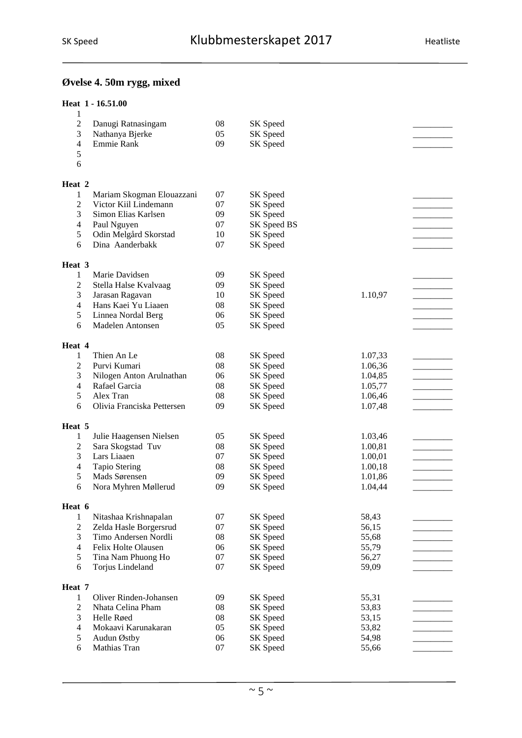#### **Øvelse 4. 50m rygg, mixed**

| 1                       | Heat 1 - 16.51.00                              |              |                      |                    |  |
|-------------------------|------------------------------------------------|--------------|----------------------|--------------------|--|
| $\overline{\mathbf{c}}$ | Danugi Ratnasingam                             | 08           | SK Speed             |                    |  |
| 3                       | Nathanya Bjerke                                | 05           | SK Speed             |                    |  |
| 4                       | Emmie Rank                                     | 09           | SK Speed             |                    |  |
| 5                       |                                                |              |                      |                    |  |
| 6                       |                                                |              |                      |                    |  |
| Heat 2                  |                                                |              |                      |                    |  |
| 1                       | Mariam Skogman Elouazzani                      | 07           | SK Speed             |                    |  |
| $\overline{c}$          | Victor Kiil Lindemann                          | 07           | SK Speed             |                    |  |
| 3                       | Simon Elias Karlsen                            | 09           | SK Speed             |                    |  |
| 4                       | Paul Nguyen                                    | 07           | SK Speed BS          |                    |  |
| 5                       | Odin Melgård Skorstad                          | 10           | SK Speed             |                    |  |
| 6                       | Dina Aanderbakk                                | 07           | SK Speed             |                    |  |
| Heat 3                  |                                                |              |                      |                    |  |
| 1                       | Marie Davidsen                                 | 09           | SK Speed             |                    |  |
| 2                       | Stella Halse Kvalvaag                          | 09           | SK Speed             |                    |  |
| 3                       | Jarasan Ragavan                                | 10           | SK Speed             | 1.10,97            |  |
| 4                       | Hans Kaei Yu Liaaen                            | 08           | SK Speed             |                    |  |
| 5                       | Linnea Nordal Berg                             | 06           | SK Speed             |                    |  |
| 6                       | Madelen Antonsen                               | 05           | SK Speed             |                    |  |
| Heat 4                  |                                                |              |                      |                    |  |
| 1                       | Thien An Le                                    | 08           | SK Speed             | 1.07,33            |  |
| $\overline{c}$          | Purvi Kumari                                   | 08           | SK Speed             | 1.06,36            |  |
| 3                       | Nilogen Anton Arulnathan                       | 06           | SK Speed             | 1.04,85            |  |
| 4                       | Rafael Garcia                                  | 08           | SK Speed             | 1.05,77            |  |
| 5<br>6                  | Alex Tran<br>Olivia Franciska Pettersen        | 08           | SK Speed             | 1.06,46            |  |
|                         |                                                | 09           | SK Speed             | 1.07,48            |  |
| Heat 5                  |                                                |              |                      |                    |  |
| 1                       | Julie Haagensen Nielsen                        | 05           | SK Speed             | 1.03,46            |  |
| $\overline{c}$          | Sara Skogstad Tuv                              | 08           | SK Speed             | 1.00,81            |  |
| 3                       | Lars Liaaen                                    | 07           | SK Speed             | 1.00,01            |  |
| 4<br>5                  | <b>Tapio Stering</b><br>Mads Sørensen          | 08<br>09     | SK Speed             | 1.00,18<br>1.01,86 |  |
| 6.                      | Nora Myhren Møllerud                           | 09           | SK Speed<br>SK Speed | 1.04,44            |  |
|                         |                                                |              |                      |                    |  |
| Heat 6                  |                                                |              |                      |                    |  |
| 1                       | Nitashaa Krishnapalan                          | 07           | SK Speed             | 58,43              |  |
| $\overline{c}$<br>3     | Zelda Hasle Borgersrud<br>Timo Andersen Nordli | 07<br>$08\,$ | SK Speed             | 56,15              |  |
| 4                       | Felix Holte Olausen                            | 06           | SK Speed             | 55,68              |  |
| 5                       | Tina Nam Phuong Ho                             | $07\,$       | SK Speed<br>SK Speed | 55,79<br>56,27     |  |
| 6                       | Torjus Lindeland                               | 07           | SK Speed             | 59,09              |  |
|                         |                                                |              |                      |                    |  |
| Heat 7                  |                                                |              |                      |                    |  |
| 1                       | Oliver Rinden-Johansen                         | 09           | SK Speed             | 55,31              |  |
| $\overline{c}$          | Nhata Celina Pham                              | 08           | SK Speed             | 53,83              |  |
| 3                       | Helle Røed                                     | 08           | SK Speed             | 53,15              |  |
| 4<br>5                  | Mokaavi Karunakaran                            | 05           | SK Speed             | 53,82              |  |
| 6                       | Audun Østby<br>Mathias Tran                    | 06<br>07     | SK Speed<br>SK Speed | 54,98              |  |
|                         |                                                |              |                      | 55,66              |  |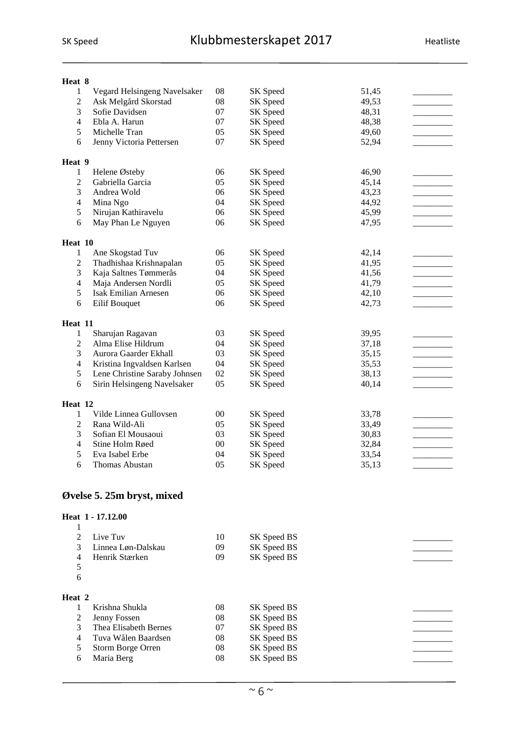| Heat 8              |                                 |          |          |       |  |
|---------------------|---------------------------------|----------|----------|-------|--|
| $\mathbf{1}$        | Vegard Helsingeng Navelsaker    | 08       | SK Speed | 51,45 |  |
| $\mathfrak{2}$      | Ask Melgård Skorstad            | 08       | SK Speed | 49,53 |  |
| 3                   | Sofie Davidsen                  | 07       | SK Speed | 48,31 |  |
| $\overline{4}$      | Ebla A. Harun                   | 07       | SK Speed | 48,38 |  |
| 5                   | Michelle Tran                   | 05       | SK Speed | 49,60 |  |
| 6                   | Jenny Victoria Pettersen        | 07       | SK Speed | 52,94 |  |
| Heat 9              |                                 |          |          |       |  |
|                     |                                 | 06       |          |       |  |
| 1                   | Helene Østeby                   |          | SK Speed | 46,90 |  |
| $\overline{2}$<br>3 | Gabriella Garcia<br>Andrea Wold | 05<br>06 | SK Speed | 45,14 |  |
|                     |                                 |          | SK Speed | 43,23 |  |
| $\overline{4}$      | Mina Ngo                        | 04       | SK Speed | 44,92 |  |
| 5                   | Nirujan Kathiravelu             | 06       | SK Speed | 45,99 |  |
| 6                   | May Phan Le Nguyen              | 06       | SK Speed | 47,95 |  |
| Heat 10             |                                 |          |          |       |  |
| 1                   | Ane Skogstad Tuv                | 06       | SK Speed | 42,14 |  |
| $\mathfrak{2}$      | Thadhishaa Krishnapalan         | 05       | SK Speed | 41,95 |  |
| 3                   | Kaja Saltnes Tømmerås           | 04       | SK Speed | 41,56 |  |
| $\overline{4}$      | Maja Andersen Nordli            | 05       | SK Speed | 41,79 |  |
| 5                   | <b>Isak Emilian Arnesen</b>     | 06       | SK Speed | 42,10 |  |
| 6                   | Eilif Bouquet                   | 06       | SK Speed | 42,73 |  |
|                     |                                 |          |          |       |  |
| Heat 11             |                                 |          |          |       |  |
| 1                   | Sharujan Ragavan                | 03       | SK Speed | 39,95 |  |
| $\mathfrak{2}$      | Alma Elise Hildrum              | 04       | SK Speed | 37,18 |  |
| 3                   | Aurora Gaarder Ekhall           | 03       | SK Speed | 35,15 |  |
| $\overline{4}$      | Kristina Ingvaldsen Karlsen     | 04       | SK Speed | 35,53 |  |
| 5                   | Lene Christine Saraby Johnsen   | 02       | SK Speed | 38,13 |  |
| 6                   | Sirin Helsingeng Navelsaker     | 05       | SK Speed | 40,14 |  |
| Heat 12             |                                 |          |          |       |  |
| 1                   | Vilde Linnea Gullovsen          | $00\,$   | SK Speed | 33,78 |  |
| $\mathfrak{2}$      | Rana Wild-Ali                   | 05       | SK Speed | 33,49 |  |
| 3                   | Sofian El Mousaoui              | 03       | SK Speed | 30,83 |  |
| $\overline{4}$      | Stine Holm Røed                 | $00\,$   |          |       |  |
| 5                   | Eva Isabel Erbe                 | 04       | SK Speed | 32,84 |  |
| 6                   | Thomas Abustan                  | 05       | SK Speed | 33,54 |  |
|                     |                                 |          | SK Speed | 35,13 |  |

#### **Øvelse 5. 25m bryst, mixed**

#### **Heat 1 - 17.12.00**

| $\mathcal{D}_{\mathcal{L}}$ | Live Tuv              | 10 | SK Speed BS |  |
|-----------------------------|-----------------------|----|-------------|--|
| 3                           | Linnea Løn-Dalskau    | 09 | SK Speed BS |  |
| 4                           | Henrik Stærken        | 09 | SK Speed BS |  |
| 5                           |                       |    |             |  |
| 6                           |                       |    |             |  |
|                             |                       |    |             |  |
| Heat 2                      |                       |    |             |  |
|                             | Krishna Shukla        | 08 | SK Speed BS |  |
| 2                           | Jenny Fossen          | 08 | SK Speed BS |  |
| 3                           | Thea Elisabeth Bernes | 07 | SK Speed BS |  |
| 4                           | Tuva Wålen Baardsen   | 08 | SK Speed BS |  |
| 5                           | Storm Borge Orren     | 08 | SK Speed BS |  |
| 6                           | Maria Berg            | 08 | SK Speed BS |  |
|                             |                       |    |             |  |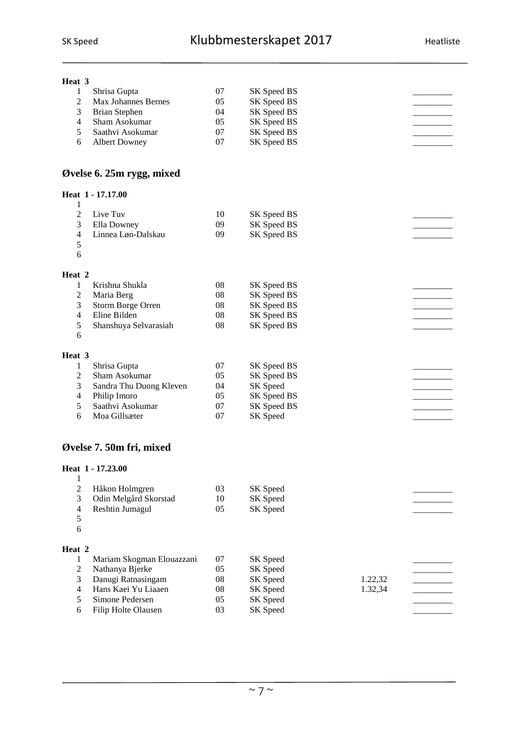| Heat 3         |                            |            |             |         |  |
|----------------|----------------------------|------------|-------------|---------|--|
| 1              | Shrisa Gupta               | 07         | SK Speed BS |         |  |
| $\overline{c}$ | <b>Max Johannes Bernes</b> | 05         | SK Speed BS |         |  |
| 3              | <b>Brian Stephen</b>       | 04         | SK Speed BS |         |  |
| $\overline{4}$ | Sham Asokumar              | 05         | SK Speed BS |         |  |
| 5              | Saathvi Asokumar           | 07         | SK Speed BS |         |  |
| 6              | <b>Albert Downey</b>       | 07         | SK Speed BS |         |  |
|                |                            |            |             |         |  |
|                | Øvelse 6. 25m rygg, mixed  |            |             |         |  |
|                | Heat 1 - 17.17.00          |            |             |         |  |
| $\mathbf{1}$   |                            |            |             |         |  |
| $\overline{c}$ | Live Tuv                   | 10         | SK Speed BS |         |  |
| 3              | Ella Downey                | 09         | SK Speed BS |         |  |
| 4              | Linnea Løn-Dalskau         | 09         | SK Speed BS |         |  |
| 5              |                            |            |             |         |  |
| 6              |                            |            |             |         |  |
| Heat 2         |                            |            |             |         |  |
| 1              | Krishna Shukla             | 08         | SK Speed BS |         |  |
| $\overline{c}$ | Maria Berg                 | 08         | SK Speed BS |         |  |
| 3              | Storm Borge Orren          | 08         | SK Speed BS |         |  |
| $\overline{4}$ | Eline Bilden               | 08         | SK Speed BS |         |  |
| 5              | Shanshuya Selvarasiah      | 08         | SK Speed BS |         |  |
| 6              |                            |            |             |         |  |
|                |                            |            |             |         |  |
| Heat 3         |                            |            |             |         |  |
| 1              | Shrisa Gupta               | 07         | SK Speed BS |         |  |
| $\overline{c}$ | Sham Asokumar              | 05         | SK Speed BS |         |  |
| 3              | Sandra Thu Duong Kleven    | 04         | SK Speed    |         |  |
| $\overline{4}$ | Philip Imoro               | 05         | SK Speed BS |         |  |
| 5              | Saathvi Asokumar           | 07         | SK Speed BS |         |  |
| 6              | Moa Gillsæter              | $07\,$     | SK Speed    |         |  |
|                |                            |            |             |         |  |
|                | Øvelse 7. 50m fri, mixed   |            |             |         |  |
|                | Heat 1 - 17.23.00          |            |             |         |  |
| 1              |                            |            |             |         |  |
| $\mathbf{2}$   | Håkon Holmgren             | 03         | SK Speed    |         |  |
| 3              | Odin Melgård Skorstad      | 10         | SK Speed    |         |  |
| 4              | Reshtin Jumagul            | 05         | SK Speed    |         |  |
| 5              |                            |            |             |         |  |
| 6              |                            |            |             |         |  |
|                |                            |            |             |         |  |
| Heat 2         |                            |            |             |         |  |
| 1              | Mariam Skogman Elouazzani  | 07         | SK Speed    |         |  |
| $\overline{c}$ | Nathanya Bjerke            | 05         | SK Speed    |         |  |
| 3              | Danugi Ratnasingam         | ${\bf 08}$ | SK Speed    | 1.22,32 |  |
| $\overline{4}$ | Hans Kaei Yu Liaaen        | $08\,$     | SK Speed    | 1.32,34 |  |
| 5              | Simone Pedersen            | 05         | SK Speed    |         |  |
| 6              | Filip Holte Olausen        | 03         | SK Speed    |         |  |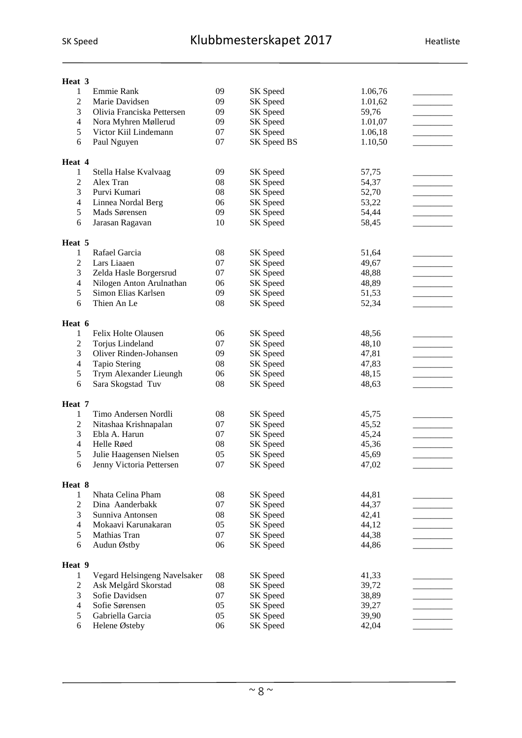| Heat 3 |                |                              |            |             |         |  |
|--------|----------------|------------------------------|------------|-------------|---------|--|
|        | $\mathbf{1}$   | Emmie Rank                   | 09         | SK Speed    | 1.06,76 |  |
|        | $\overline{c}$ | Marie Davidsen               | 09         | SK Speed    | 1.01,62 |  |
|        | 3              | Olivia Franciska Pettersen   | 09         | SK Speed    | 59,76   |  |
|        | 4              | Nora Myhren Møllerud         | 09         | SK Speed    | 1.01,07 |  |
|        | 5              | Victor Kiil Lindemann        | 07         | SK Speed    | 1.06,18 |  |
|        | 6              | Paul Nguyen                  | 07         | SK Speed BS | 1.10,50 |  |
|        |                |                              |            |             |         |  |
| Heat 4 |                |                              |            |             |         |  |
|        | $\mathbf{1}$   | Stella Halse Kvalvaag        | 09         | SK Speed    | 57,75   |  |
|        | $\overline{c}$ | Alex Tran                    | 08         | SK Speed    | 54,37   |  |
|        | 3              | Purvi Kumari                 | 08         | SK Speed    | 52,70   |  |
|        | 4              | Linnea Nordal Berg           | 06         | SK Speed    | 53,22   |  |
|        | 5              | Mads Sørensen                | 09         | SK Speed    | 54,44   |  |
|        | 6              | Jarasan Ragavan              | 10         | SK Speed    | 58,45   |  |
|        |                |                              |            |             |         |  |
| Heat 5 |                |                              |            |             |         |  |
|        | 1              | Rafael Garcia                | 08         | SK Speed    | 51,64   |  |
|        | $\overline{c}$ | Lars Liaaen                  | 07         | SK Speed    | 49,67   |  |
|        | 3              | Zelda Hasle Borgersrud       | 07         | SK Speed    | 48,88   |  |
|        | $\overline{4}$ | Nilogen Anton Arulnathan     | 06         | SK Speed    | 48,89   |  |
|        | 5              | Simon Elias Karlsen          | 09         | SK Speed    | 51,53   |  |
|        | 6              | Thien An Le                  | 08         | SK Speed    | 52,34   |  |
|        |                |                              |            |             |         |  |
| Heat 6 |                |                              |            |             |         |  |
|        | 1              | Felix Holte Olausen          | 06         | SK Speed    | 48,56   |  |
|        | $\overline{c}$ | Torjus Lindeland             | 07         | SK Speed    | 48,10   |  |
|        | 3              | Oliver Rinden-Johansen       | 09         | SK Speed    | 47,81   |  |
|        | $\overline{4}$ | <b>Tapio Stering</b>         | 08         | SK Speed    | 47,83   |  |
|        | 5              | Trym Alexander Lieungh       | 06         | SK Speed    | 48,15   |  |
|        | 6              | Sara Skogstad Tuv            | 08         | SK Speed    | 48,63   |  |
|        |                |                              |            |             |         |  |
| Heat 7 |                |                              |            |             |         |  |
|        | $\mathbf{1}$   | Timo Andersen Nordli         | 08         | SK Speed    | 45,75   |  |
|        | 2              | Nitashaa Krishnapalan        | 07         | SK Speed    | 45,52   |  |
|        | 3              | Ebla A. Harun                | 07         | SK Speed    | 45,24   |  |
|        | $\overline{4}$ | Helle Røed                   | 08         | SK Speed    | 45,36   |  |
|        | 5              | Julie Haagensen Nielsen      | 05         | SK Speed    | 45,69   |  |
|        | 6              | Jenny Victoria Pettersen     | 07         | SK Speed    | 47,02   |  |
|        |                |                              |            |             |         |  |
| Heat 8 |                |                              |            |             |         |  |
|        | 1              | Nhata Celina Pham            | ${\bf 08}$ | SK Speed    | 44,81   |  |
|        | $\sqrt{2}$     | Dina Aanderbakk              | 07         | SK Speed    | 44,37   |  |
|        | 3              | Sunniva Antonsen             | ${\bf 08}$ | SK Speed    | 42,41   |  |
|        | $\overline{4}$ | Mokaavi Karunakaran          | 05         | SK Speed    | 44,12   |  |
|        | 5              | Mathias Tran                 | 07         | SK Speed    | 44,38   |  |
|        | 6              | Audun Østby                  | 06         | SK Speed    | 44,86   |  |
|        |                |                              |            |             |         |  |
| Heat 9 |                |                              |            |             |         |  |
|        | 1              | Vegard Helsingeng Navelsaker | 08         | SK Speed    | 41,33   |  |
|        | $\mathbf{2}$   | Ask Melgård Skorstad         | 08         | SK Speed    | 39,72   |  |
|        | 3              | Sofie Davidsen               | 07         | SK Speed    | 38,89   |  |
|        | $\overline{4}$ | Sofie Sørensen               | 05         | SK Speed    | 39,27   |  |
|        | 5              | Gabriella Garcia             | 05         | SK Speed    | 39,90   |  |
|        | 6              | Helene Østeby                | 06         | SK Speed    | 42,04   |  |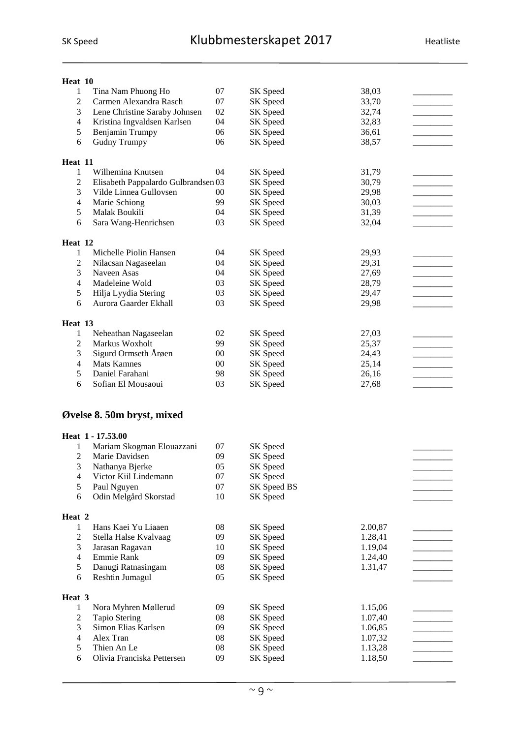| Heat 10                 |                                           |          |                      |                    |  |
|-------------------------|-------------------------------------------|----------|----------------------|--------------------|--|
| 1                       | Tina Nam Phuong Ho                        | 07       | SK Speed             | 38,03              |  |
| 2                       | Carmen Alexandra Rasch                    | 07       | SK Speed             | 33,70              |  |
| 3                       | Lene Christine Saraby Johnsen             | 02       | SK Speed             | 32,74              |  |
| $\overline{4}$          | Kristina Ingvaldsen Karlsen               | 04       | SK Speed             | 32,83              |  |
| 5                       | Benjamin Trumpy                           | 06       | SK Speed             | 36,61              |  |
| 6                       | <b>Gudny Trumpy</b>                       | 06       | SK Speed             | 38,57              |  |
|                         |                                           |          |                      |                    |  |
| Heat 11                 |                                           |          |                      |                    |  |
| 1                       | Wilhemina Knutsen                         | 04       | SK Speed             | 31,79              |  |
| $\overline{c}$          | Elisabeth Pappalardo Gulbrandsen 03       |          | SK Speed             | 30,79              |  |
| 3                       | Vilde Linnea Gullovsen                    | 00       | SK Speed             | 29,98              |  |
| $\overline{4}$          | Marie Schiong                             | 99       | SK Speed             | 30,03              |  |
| 5                       | Malak Boukili                             | 04       | SK Speed             | 31,39              |  |
| 6                       | Sara Wang-Henrichsen                      | 03       | SK Speed             | 32,04              |  |
|                         |                                           |          |                      |                    |  |
| Heat 12                 |                                           |          |                      |                    |  |
| 1                       | Michelle Piolin Hansen                    | 04       | SK Speed             | 29,93              |  |
| $\overline{c}$          | Nilacsan Nagaseelan                       | 04       | SK Speed             | 29,31              |  |
| 3                       | Naveen Asas                               | 04       | SK Speed             | 27,69              |  |
| 4                       | Madeleine Wold                            | 03       | SK Speed             | 28,79              |  |
| 5                       | Hilja Lyydia Stering                      | 03       | SK Speed             | 29,47              |  |
| 6                       | Aurora Gaarder Ekhall                     | 03       | SK Speed             | 29,98              |  |
|                         |                                           |          |                      |                    |  |
| Heat 13                 |                                           |          |                      |                    |  |
| 1                       | Neheathan Nagaseelan<br>Markus Woxholt    | 02       | SK Speed             | 27,03              |  |
| $\overline{c}$          |                                           | 99       | SK Speed             | 25,37              |  |
| 3                       | Sigurd Ormseth Årøen                      | $00\,$   | SK Speed             | 24,43              |  |
| 4<br>5                  | <b>Mats Kamnes</b>                        | 00       | SK Speed             | 25,14              |  |
|                         |                                           |          |                      |                    |  |
|                         | Daniel Farahani                           | 98       | SK Speed             | 26,16              |  |
| 6                       | Sofian El Mousaoui                        | 03       | SK Speed             | 27,68              |  |
|                         |                                           |          |                      |                    |  |
|                         | Øvelse 8. 50m bryst, mixed                |          |                      |                    |  |
|                         |                                           |          |                      |                    |  |
|                         | Heat 1 - 17.53.00                         |          |                      |                    |  |
| 1                       | Mariam Skogman Elouazzani                 | 07       | SK Speed             |                    |  |
| 2                       | Marie Davidsen                            | 09       | SK Speed             |                    |  |
| 3                       | Nathanya Bjerke                           | 05       | SK Speed             |                    |  |
| 4                       | Victor Kiil Lindemann                     | 07       | SK Speed             |                    |  |
| 5                       | Paul Nguyen                               | 07       | SK Speed BS          |                    |  |
| 6                       | Odin Melgård Skorstad                     | 10       | SK Speed             |                    |  |
|                         |                                           |          |                      |                    |  |
| Heat 2                  |                                           |          |                      |                    |  |
| 1                       | Hans Kaei Yu Liaaen                       | 08       | SK Speed             | 2.00,87            |  |
| $\overline{\mathbf{c}}$ | Stella Halse Kvalvaag                     | 09       | SK Speed             | 1.28,41            |  |
| 3                       | Jarasan Ragavan                           | 10       | SK Speed             | 1.19,04            |  |
| 4                       | Emmie Rank                                | 09       | SK Speed             | 1.24,40            |  |
| 5                       | Danugi Ratnasingam                        | 08       | SK Speed             | 1.31,47            |  |
| 6                       | Reshtin Jumagul                           | 05       | SK Speed             |                    |  |
|                         |                                           |          |                      |                    |  |
| Heat 3                  |                                           |          |                      |                    |  |
| 1                       | Nora Myhren Møllerud                      | 09       | SK Speed             | 1.15,06            |  |
| $\overline{c}$          | <b>Tapio Stering</b>                      | 08       | SK Speed             | 1.07,40            |  |
| 3                       | Simon Elias Karlsen                       | 09       | SK Speed             | 1.06,85            |  |
| $\overline{4}$          | Alex Tran                                 | 08       | SK Speed             | 1.07,32            |  |
| 5<br>6                  | Thien An Le<br>Olivia Franciska Pettersen | 08<br>09 | SK Speed<br>SK Speed | 1.13,28<br>1.18,50 |  |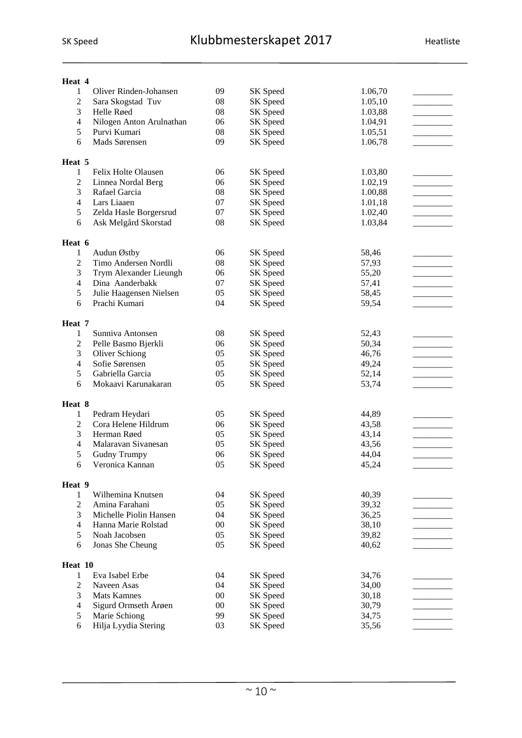| Heat 4         |                          |        |                 |         |  |
|----------------|--------------------------|--------|-----------------|---------|--|
| 1              | Oliver Rinden-Johansen   | 09     | SK Speed        | 1.06,70 |  |
| 2              | Sara Skogstad Tuv        | 08     | SK Speed        | 1.05,10 |  |
| 3              | Helle Røed               | 08     | SK Speed        | 1.03,88 |  |
| $\overline{4}$ | Nilogen Anton Arulnathan | 06     | <b>SK</b> Speed | 1.04,91 |  |
| 5              | Purvi Kumari             | 08     | SK Speed        | 1.05,51 |  |
| 6              | Mads Sørensen            | 09     | SK Speed        | 1.06,78 |  |
|                |                          |        |                 |         |  |
| Heat 5         |                          |        |                 |         |  |
| 1              | Felix Holte Olausen      | 06     | SK Speed        | 1.03,80 |  |
| $\overline{c}$ | Linnea Nordal Berg       | 06     | SK Speed        | 1.02,19 |  |
| 3              | Rafael Garcia            | 08     | SK Speed        | 1.00,88 |  |
| $\overline{4}$ | Lars Liaaen              | 07     | SK Speed        | 1.01,18 |  |
| 5              | Zelda Hasle Borgersrud   | 07     | SK Speed        | 1.02,40 |  |
| 6              | Ask Melgård Skorstad     | 08     | SK Speed        | 1.03,84 |  |
| Heat 6         |                          |        |                 |         |  |
| 1              | Audun Østby              | 06     | SK Speed        | 58,46   |  |
| 2              | Timo Andersen Nordli     | 08     | SK Speed        | 57,93   |  |
| 3              | Trym Alexander Lieungh   | 06     | SK Speed        | 55,20   |  |
| $\overline{4}$ | Dina Aanderbakk          | 07     | SK Speed        | 57,41   |  |
| 5              | Julie Haagensen Nielsen  | 05     | SK Speed        | 58,45   |  |
| 6              | Prachi Kumari            | 04     | SK Speed        | 59,54   |  |
|                |                          |        |                 |         |  |
| Heat 7         |                          |        |                 |         |  |
| 1              | Sunniva Antonsen         | 08     | SK Speed        | 52,43   |  |
| 2              | Pelle Basmo Bjerkli      | 06     | SK Speed        | 50,34   |  |
| 3              | <b>Oliver Schiong</b>    | 05     | SK Speed        | 46,76   |  |
| $\overline{4}$ | Sofie Sørensen           | 05     | SK Speed        | 49,24   |  |
| 5              | Gabriella Garcia         | 05     | SK Speed        | 52,14   |  |
| 6              | Mokaavi Karunakaran      | 05     | SK Speed        | 53,74   |  |
| Heat 8         |                          |        |                 |         |  |
| 1              | Pedram Heydari           | 05     | SK Speed        | 44,89   |  |
| $\overline{c}$ | Cora Helene Hildrum      | 06     | SK Speed        | 43,58   |  |
| 3              | Herman Røed              | 05     | SK Speed        | 43,14   |  |
| 4              | Malaravan Sivanesan      | 05     | SK Speed        | 43,56   |  |
| 5              | <b>Gudny Trumpy</b>      | 06     | SK Speed        | 44,04   |  |
| 6              | Veronica Kannan          | 05     | SK Speed        | 45,24   |  |
|                |                          |        |                 |         |  |
| Heat 9<br>1    | Wilhemina Knutsen        | 04     | SK Speed        | 40,39   |  |
| 2              | Amina Farahani           | 05     | SK Speed        | 39,32   |  |
| 3              | Michelle Piolin Hansen   | 04     | SK Speed        | 36,25   |  |
| $\overline{4}$ | Hanna Marie Rolstad      | 00     | SK Speed        | 38,10   |  |
| 5              | Noah Jacobsen            | 05     | SK Speed        | 39,82   |  |
| 6              | Jonas She Cheung         | 05     | SK Speed        | 40,62   |  |
|                |                          |        |                 |         |  |
| Heat 10        |                          |        |                 |         |  |
| 1              | Eva Isabel Erbe          | 04     | SK Speed        | 34,76   |  |
| 2              | Naveen Asas              | 04     | SK Speed        | 34,00   |  |
| 3              | <b>Mats Kamnes</b>       | $00\,$ | SK Speed        | 30,18   |  |
| $\overline{4}$ | Sigurd Ormseth Årøen     | $00\,$ | SK Speed        | 30,79   |  |
| 5              | Marie Schiong            | 99     | SK Speed        | 34,75   |  |
| 6              | Hilja Lyydia Stering     | 03     | SK Speed        | 35,56   |  |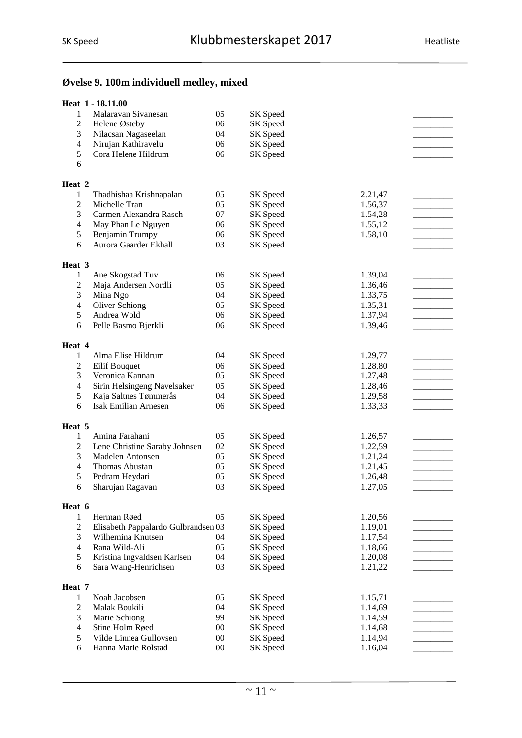#### **Øvelse 9. 100m individuell medley, mixed**

|                          | Heat 1 - 18.11.00                   |        |          |         |  |
|--------------------------|-------------------------------------|--------|----------|---------|--|
| $\mathbf{1}$             | Malaravan Sivanesan                 | 05     | SK Speed |         |  |
| $\overline{c}$           | Helene Østeby                       | 06     | SK Speed |         |  |
| 3                        | Nilacsan Nagaseelan                 | 04     | SK Speed |         |  |
| $\overline{4}$           | Nirujan Kathiravelu                 | 06     | SK Speed |         |  |
| 5                        | Cora Helene Hildrum                 | 06     | SK Speed |         |  |
| 6                        |                                     |        |          |         |  |
| Heat 2                   |                                     |        |          |         |  |
| 1                        | Thadhishaa Krishnapalan             | 05     | SK Speed | 2.21,47 |  |
| 2                        | Michelle Tran                       | 05     | SK Speed | 1.56,37 |  |
| 3                        | Carmen Alexandra Rasch              | 07     | SK Speed | 1.54,28 |  |
| $\overline{\mathcal{L}}$ | May Phan Le Nguyen                  | 06     | SK Speed | 1.55,12 |  |
| 5                        | Benjamin Trumpy                     | 06     | SK Speed | 1.58,10 |  |
| 6                        | Aurora Gaarder Ekhall               | 03     | SK Speed |         |  |
| Heat 3                   |                                     |        |          |         |  |
| 1                        | Ane Skogstad Tuv                    | 06     | SK Speed | 1.39,04 |  |
| $\overline{c}$           | Maja Andersen Nordli                | 05     | SK Speed | 1.36,46 |  |
| 3                        | Mina Ngo                            | 04     | SK Speed | 1.33,75 |  |
| $\overline{\mathcal{L}}$ | Oliver Schiong                      | 05     | SK Speed | 1.35,31 |  |
| 5                        | Andrea Wold                         | 06     | SK Speed | 1.37,94 |  |
| 6                        | Pelle Basmo Bjerkli                 | 06     | SK Speed | 1.39,46 |  |
| Heat 4                   |                                     |        |          |         |  |
| 1                        | Alma Elise Hildrum                  | 04     | SK Speed | 1.29,77 |  |
| $\overline{c}$           | Eilif Bouquet                       | 06     | SK Speed | 1.28,80 |  |
| 3                        | Veronica Kannan                     | 05     | SK Speed | 1.27,48 |  |
| 4                        | Sirin Helsingeng Navelsaker         | 05     | SK Speed | 1.28,46 |  |
| 5                        | Kaja Saltnes Tømmerås               | 04     | SK Speed | 1.29,58 |  |
| 6                        | <b>Isak Emilian Arnesen</b>         | 06     | SK Speed | 1.33,33 |  |
| Heat 5                   |                                     |        |          |         |  |
| 1                        | Amina Farahani                      | 05     | SK Speed | 1.26,57 |  |
| $\overline{c}$           | Lene Christine Saraby Johnsen       | 02     | SK Speed | 1.22,59 |  |
| 3                        | Madelen Antonsen                    | 05     | SK Speed | 1.21,24 |  |
| $\overline{\mathcal{L}}$ | Thomas Abustan                      | 05     | SK Speed | 1.21,45 |  |
| 5                        | Pedram Heydari                      | 05     | SK Speed | 1.26,48 |  |
| 6                        | Sharujan Ragavan                    | 03     | SK Speed | 1.27,05 |  |
| Heat 6                   |                                     |        |          |         |  |
| 1                        | Herman Røed                         | 05     | SK Speed | 1.20,56 |  |
| $\overline{c}$           | Elisabeth Pappalardo Gulbrandsen 03 |        | SK Speed | 1.19,01 |  |
| 3                        | Wilhemina Knutsen                   | 04     | SK Speed | 1.17,54 |  |
| $\overline{4}$           | Rana Wild-Ali                       | 05     | SK Speed | 1.18,66 |  |
| 5                        | Kristina Ingvaldsen Karlsen         | 04     | SK Speed | 1.20,08 |  |
| 6                        | Sara Wang-Henrichsen                | 03     | SK Speed | 1.21,22 |  |
| Heat 7                   |                                     |        |          |         |  |
| 1                        | Noah Jacobsen                       | 05     | SK Speed | 1.15,71 |  |
| 2                        | Malak Boukili                       | 04     | SK Speed | 1.14,69 |  |
| 3                        | Marie Schiong                       | 99     | SK Speed | 1.14,59 |  |
| 4                        | Stine Holm Røed                     | $00\,$ | SK Speed | 1.14,68 |  |
| 5                        | Vilde Linnea Gullovsen              | $00\,$ | SK Speed | 1.14,94 |  |
| 6                        | Hanna Marie Rolstad                 | $00\,$ | SK Speed | 1.16,04 |  |